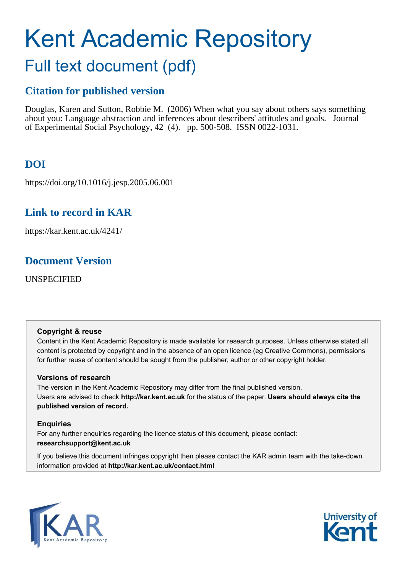# Kent Academic Repository

## Full text document (pdf)

## **Citation for published version**

Douglas, Karen and Sutton, Robbie M. (2006) When what you say about others says something about you: Language abstraction and inferences about describers' attitudes and goals. Journal of Experimental Social Psychology, 42 (4). pp. 500-508. ISSN 0022-1031.

## **DOI**

https://doi.org/10.1016/j.jesp.2005.06.001

## **Link to record in KAR**

https://kar.kent.ac.uk/4241/

## **Document Version**

UNSPECIFIED

#### **Copyright & reuse**

Content in the Kent Academic Repository is made available for research purposes. Unless otherwise stated all content is protected by copyright and in the absence of an open licence (eg Creative Commons), permissions for further reuse of content should be sought from the publisher, author or other copyright holder.

#### **Versions of research**

The version in the Kent Academic Repository may differ from the final published version. Users are advised to check **http://kar.kent.ac.uk** for the status of the paper. **Users should always cite the published version of record.**

#### **Enquiries**

For any further enquiries regarding the licence status of this document, please contact: **researchsupport@kent.ac.uk**

If you believe this document infringes copyright then please contact the KAR admin team with the take-down information provided at **http://kar.kent.ac.uk/contact.html**



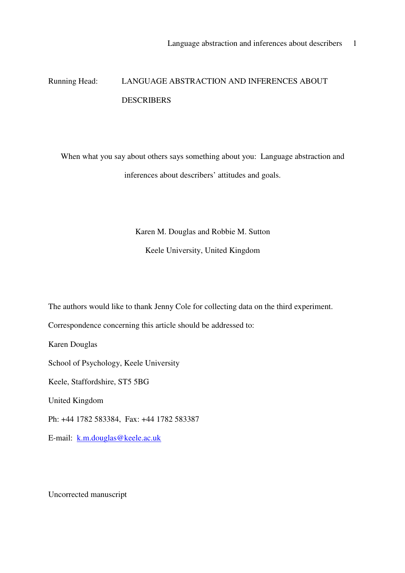## Running Head: LANGUAGE ABSTRACTION AND INFERENCES ABOUT **DESCRIBERS**

When what you say about others says something about you: Language abstraction and inferences about describers' attitudes and goals.

#### Karen M. Douglas and Robbie M. Sutton

Keele University, United Kingdom

The authors would like to thank Jenny Cole for collecting data on the third experiment.

Correspondence concerning this article should be addressed to:

Karen Douglas

School of Psychology, Keele University

Keele, Staffordshire, ST5 5BG

United Kingdom

Ph: +44 1782 583384, Fax: +44 1782 583387

E-mail: k.m.douglas@keele.ac.uk

Uncorrected manuscript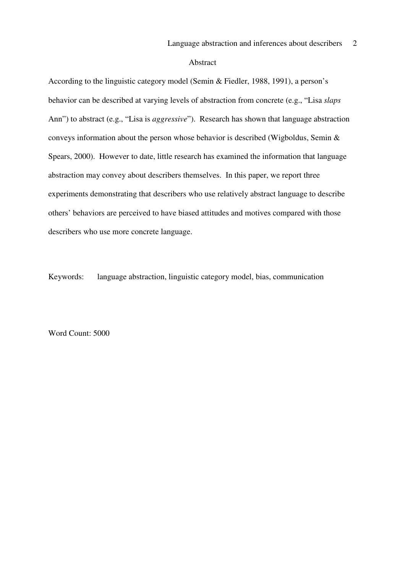#### Abstract

According to the linguistic category model (Semin & Fiedler, 1988, 1991), a person's behavior can be described at varying levels of abstraction from concrete (e.g., "Lisa *slaps* Ann") to abstract (e.g., "Lisa is *aggressive*"). Research has shown that language abstraction conveys information about the person whose behavior is described (Wigboldus, Semin & Spears, 2000). However to date, little research has examined the information that language abstraction may convey about describers themselves. In this paper, we report three experiments demonstrating that describers who use relatively abstract language to describe others' behaviors are perceived to have biased attitudes and motives compared with those describers who use more concrete language.

Keywords: language abstraction, linguistic category model, bias, communication

Word Count: 5000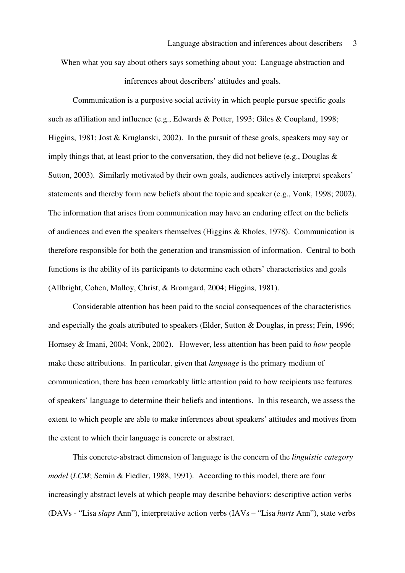When what you say about others says something about you: Language abstraction and inferences about describers' attitudes and goals.

 Communication is a purposive social activity in which people pursue specific goals such as affiliation and influence (e.g., Edwards & Potter, 1993; Giles & Coupland, 1998; Higgins, 1981; Jost & Kruglanski, 2002). In the pursuit of these goals, speakers may say or imply things that, at least prior to the conversation, they did not believe (e.g., Douglas & Sutton, 2003). Similarly motivated by their own goals, audiences actively interpret speakers' statements and thereby form new beliefs about the topic and speaker (e.g., Vonk, 1998; 2002). The information that arises from communication may have an enduring effect on the beliefs of audiences and even the speakers themselves (Higgins & Rholes, 1978). Communication is therefore responsible for both the generation and transmission of information. Central to both functions is the ability of its participants to determine each others' characteristics and goals (Allbright, Cohen, Malloy, Christ, & Bromgard, 2004; Higgins, 1981).

Considerable attention has been paid to the social consequences of the characteristics and especially the goals attributed to speakers (Elder, Sutton & Douglas, in press; Fein, 1996; Hornsey & Imani, 2004; Vonk, 2002). However, less attention has been paid to *how* people make these attributions. In particular, given that *language* is the primary medium of communication, there has been remarkably little attention paid to how recipients use features of speakers' language to determine their beliefs and intentions. In this research, we assess the extent to which people are able to make inferences about speakers' attitudes and motives from the extent to which their language is concrete or abstract.

This concrete-abstract dimension of language is the concern of the *linguistic category model* (*LCM*; Semin & Fiedler, 1988, 1991). According to this model, there are four increasingly abstract levels at which people may describe behaviors: descriptive action verbs (DAVs - "Lisa *slaps* Ann"), interpretative action verbs (IAVs – "Lisa *hurts* Ann"), state verbs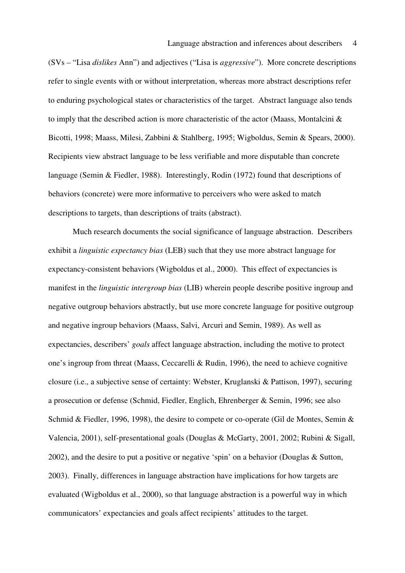(SVs – "Lisa *dislikes* Ann") and adjectives ("Lisa is *aggressive*"). More concrete descriptions refer to single events with or without interpretation, whereas more abstract descriptions refer to enduring psychological states or characteristics of the target. Abstract language also tends to imply that the described action is more characteristic of the actor (Maass, Montalcini & Bicotti, 1998; Maass, Milesi, Zabbini & Stahlberg, 1995; Wigboldus, Semin & Spears, 2000). Recipients view abstract language to be less verifiable and more disputable than concrete language (Semin & Fiedler, 1988). Interestingly, Rodin (1972) found that descriptions of behaviors (concrete) were more informative to perceivers who were asked to match descriptions to targets, than descriptions of traits (abstract).

Much research documents the social significance of language abstraction. Describers exhibit a *linguistic expectancy bias* (LEB) such that they use more abstract language for expectancy-consistent behaviors (Wigboldus et al., 2000). This effect of expectancies is manifest in the *linguistic intergroup bias* (LIB) wherein people describe positive ingroup and negative outgroup behaviors abstractly, but use more concrete language for positive outgroup and negative ingroup behaviors (Maass, Salvi, Arcuri and Semin, 1989). As well as expectancies, describers' *goals* affect language abstraction, including the motive to protect one's ingroup from threat (Maass, Ceccarelli & Rudin, 1996), the need to achieve cognitive closure (i.e., a subjective sense of certainty: Webster, Kruglanski & Pattison, 1997), securing a prosecution or defense (Schmid, Fiedler, Englich, Ehrenberger & Semin, 1996; see also Schmid & Fiedler, 1996, 1998), the desire to compete or co-operate (Gil de Montes, Semin & Valencia, 2001), self-presentational goals (Douglas & McGarty, 2001, 2002; Rubini & Sigall, 2002), and the desire to put a positive or negative 'spin' on a behavior (Douglas & Sutton, 2003). Finally, differences in language abstraction have implications for how targets are evaluated (Wigboldus et al., 2000), so that language abstraction is a powerful way in which communicators' expectancies and goals affect recipients' attitudes to the target.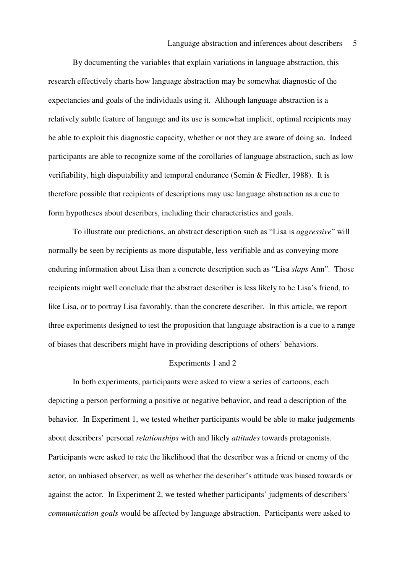#### Language abstraction and inferences about describers 5

By documenting the variables that explain variations in language abstraction, this research effectively charts how language abstraction may be somewhat diagnostic of the expectancies and goals of the individuals using it. Although language abstraction is a relatively subtle feature of language and its use is somewhat implicit, optimal recipients may be able to exploit this diagnostic capacity, whether or not they are aware of doing so. Indeed participants are able to recognize some of the corollaries of language abstraction, such as low verifiability, high disputability and temporal endurance (Semin & Fiedler, 1988). It is therefore possible that recipients of descriptions may use language abstraction as a cue to form hypotheses about describers, including their characteristics and goals.

To illustrate our predictions, an abstract description such as "Lisa is *aggressive*" will normally be seen by recipients as more disputable, less verifiable and as conveying more enduring information about Lisa than a concrete description such as "Lisa *slaps* Ann". Those recipients might well conclude that the abstract describer is less likely to be Lisa's friend, to like Lisa, or to portray Lisa favorably, than the concrete describer. In this article, we report three experiments designed to test the proposition that language abstraction is a cue to a range of biases that describers might have in providing descriptions of others' behaviors.

#### Experiments 1 and 2

In both experiments, participants were asked to view a series of cartoons, each depicting a person performing a positive or negative behavior, and read a description of the behavior. In Experiment 1, we tested whether participants would be able to make judgements about describers' personal *relationships* with and likely *attitudes* towards protagonists. Participants were asked to rate the likelihood that the describer was a friend or enemy of the actor, an unbiased observer, as well as whether the describer's attitude was biased towards or against the actor. In Experiment 2, we tested whether participants' judgments of describers' *communication goals* would be affected by language abstraction. Participants were asked to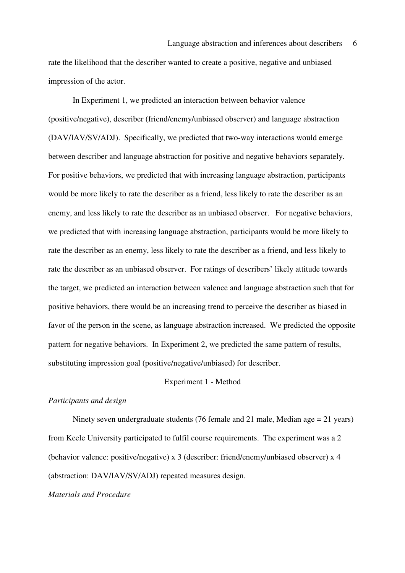rate the likelihood that the describer wanted to create a positive, negative and unbiased impression of the actor.

In Experiment 1, we predicted an interaction between behavior valence (positive/negative), describer (friend/enemy/unbiased observer) and language abstraction (DAV/IAV/SV/ADJ). Specifically, we predicted that two-way interactions would emerge between describer and language abstraction for positive and negative behaviors separately. For positive behaviors, we predicted that with increasing language abstraction, participants would be more likely to rate the describer as a friend, less likely to rate the describer as an enemy, and less likely to rate the describer as an unbiased observer. For negative behaviors, we predicted that with increasing language abstraction, participants would be more likely to rate the describer as an enemy, less likely to rate the describer as a friend, and less likely to rate the describer as an unbiased observer. For ratings of describers' likely attitude towards the target, we predicted an interaction between valence and language abstraction such that for positive behaviors, there would be an increasing trend to perceive the describer as biased in favor of the person in the scene, as language abstraction increased. We predicted the opposite pattern for negative behaviors. In Experiment 2, we predicted the same pattern of results, substituting impression goal (positive/negative/unbiased) for describer.

#### Experiment 1 - Method

#### *Participants and design*

Ninety seven undergraduate students (76 female and 21 male, Median age = 21 years) from Keele University participated to fulfil course requirements. The experiment was a 2 (behavior valence: positive/negative) x 3 (describer: friend/enemy/unbiased observer) x 4 (abstraction: DAV/IAV/SV/ADJ) repeated measures design.

#### *Materials and Procedure*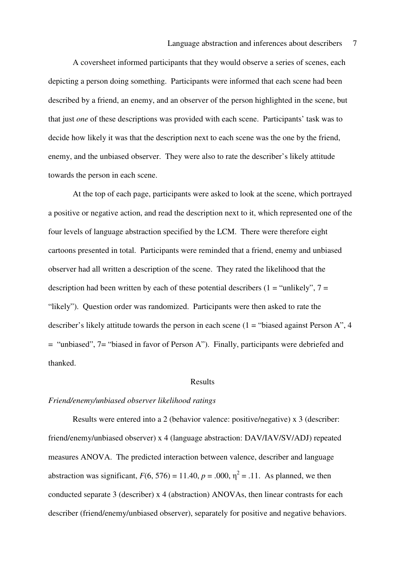#### Language abstraction and inferences about describers 7

 A coversheet informed participants that they would observe a series of scenes, each depicting a person doing something. Participants were informed that each scene had been described by a friend, an enemy, and an observer of the person highlighted in the scene, but that just *one* of these descriptions was provided with each scene. Participants' task was to decide how likely it was that the description next to each scene was the one by the friend, enemy, and the unbiased observer. They were also to rate the describer's likely attitude towards the person in each scene.

 At the top of each page, participants were asked to look at the scene, which portrayed a positive or negative action, and read the description next to it, which represented one of the four levels of language abstraction specified by the LCM. There were therefore eight cartoons presented in total. Participants were reminded that a friend, enemy and unbiased observer had all written a description of the scene. They rated the likelihood that the description had been written by each of these potential describers (1 = "unlikely",  $7 =$ "likely"). Question order was randomized. Participants were then asked to rate the describer's likely attitude towards the person in each scene  $(1 = "biased against Person A", 4$ = "unbiased", 7= "biased in favor of Person A"). Finally, participants were debriefed and thanked.

#### Results

#### *Friend/enemy/unbiased observer likelihood ratings*

Results were entered into a 2 (behavior valence: positive/negative) x 3 (describer: friend/enemy/unbiased observer) x 4 (language abstraction: DAV/IAV/SV/ADJ) repeated measures ANOVA. The predicted interaction between valence, describer and language abstraction was significant,  $F(6, 576) = 11.40$ ,  $p = .000$ ,  $\eta^2 = .11$ . As planned, we then conducted separate 3 (describer) x 4 (abstraction) ANOVAs, then linear contrasts for each describer (friend/enemy/unbiased observer), separately for positive and negative behaviors.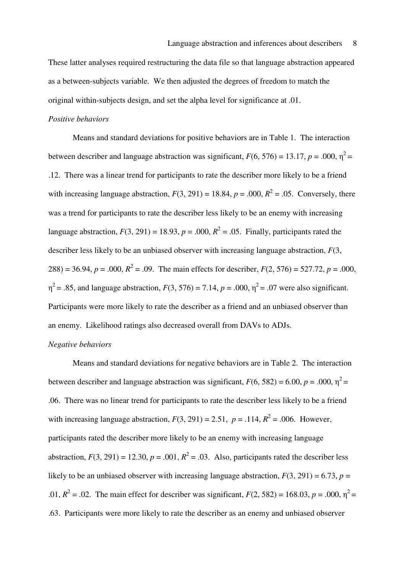These latter analyses required restructuring the data file so that language abstraction appeared as a between-subjects variable. We then adjusted the degrees of freedom to match the original within-subjects design, and set the alpha level for significance at .01.

#### *Positive behaviors*

 Means and standard deviations for positive behaviors are in Table 1. The interaction between describer and language abstraction was significant,  $F(6, 576) = 13.17$ ,  $p = .000$ ,  $\eta^2 =$ .12. There was a linear trend for participants to rate the describer more likely to be a friend with increasing language abstraction,  $F(3, 291) = 18.84$ ,  $p = .000$ ,  $R^2 = .05$ . Conversely, there was a trend for participants to rate the describer less likely to be an enemy with increasing language abstraction,  $F(3, 291) = 18.93$ ,  $p = .000$ ,  $R^2 = .05$ . Finally, participants rated the describer less likely to be an unbiased observer with increasing language abstraction, *F*(3,  $288$ ) = 36.94, *p* = .000,  $R^2$  = .09. The main effects for describer,  $F(2, 576)$  = 527.72, *p* = .000,  $\eta^2$  = .85, and language abstraction, *F*(3, 576) = 7.14, *p* = .000,  $\eta^2$  = .07 were also significant. Participants were more likely to rate the describer as a friend and an unbiased observer than an enemy. Likelihood ratings also decreased overall from DAVs to ADJs.

#### *Negative behaviors*

Means and standard deviations for negative behaviors are in Table 2. The interaction between describer and language abstraction was significant,  $F(6, 582) = 6.00, p = .000, \eta^2 =$ .06. There was no linear trend for participants to rate the describer less likely to be a friend with increasing language abstraction,  $F(3, 291) = 2.51$ ,  $p = .114$ ,  $R^2 = .006$ . However, participants rated the describer more likely to be an enemy with increasing language abstraction,  $F(3, 291) = 12.30$ ,  $p = .001$ ,  $R^2 = .03$ . Also, participants rated the describer less likely to be an unbiased observer with increasing language abstraction,  $F(3, 291) = 6.73$ ,  $p =$ .01,  $R^2 = 0.02$ . The main effect for describer was significant,  $F(2, 582) = 168.03$ ,  $p = 0.00$ ,  $\eta^2 =$ .63. Participants were more likely to rate the describer as an enemy and unbiased observer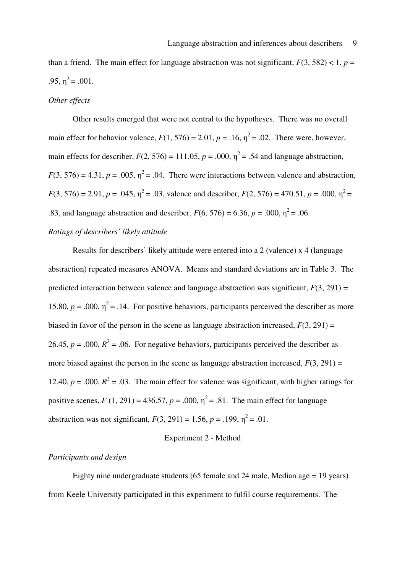than a friend. The main effect for language abstraction was not significant,  $F(3, 582) < 1$ ,  $p =$ .95,  $η<sup>2</sup> = .001$ .

#### *Other effects*

Other results emerged that were not central to the hypotheses. There was no overall main effect for behavior valence,  $F(1, 576) = 2.01$ ,  $p = .16$ ,  $\eta^2 = .02$ . There were, however, main effects for describer,  $F(2, 576) = 111.05$ ,  $p = .000$ ,  $\eta^2 = .54$  and language abstraction,  $F(3, 576) = 4.31$ ,  $p = .005$ ,  $\eta^2 = .04$ . There were interactions between valence and abstraction,  $F(3, 576) = 2.91, p = .045, \eta^2 = .03$ , valence and describer,  $F(2, 576) = 470.51, p = .000, \eta^2 =$ .83, and language abstraction and describer,  $F(6, 576) = 6.36$ ,  $p = .000$ ,  $\eta^2 = .06$ .

#### *Ratings of describers' likely attitude*

 Results for describers' likely attitude were entered into a 2 (valence) x 4 (language abstraction) repeated measures ANOVA. Means and standard deviations are in Table 3. The predicted interaction between valence and language abstraction was significant,  $F(3, 291) =$ 15.80,  $p = .000$ ,  $\eta^2 = .14$ . For positive behaviors, participants perceived the describer as more biased in favor of the person in the scene as language abstraction increased,  $F(3, 291) =$ 26.45,  $p = .000$ ,  $R^2 = .06$ . For negative behaviors, participants perceived the describer as more biased against the person in the scene as language abstraction increased,  $F(3, 291) =$ 12.40,  $p = .000$ ,  $R^2 = .03$ . The main effect for valence was significant, with higher ratings for positive scenes,  $F(1, 291) = 436.57$ ,  $p = .000$ ,  $\eta^2 = .81$ . The main effect for language abstraction was not significant,  $F(3, 291) = 1.56$ ,  $p = .199$ ,  $\eta^2 = .01$ .

#### Experiment 2 - Method

#### *Participants and design*

Eighty nine undergraduate students (65 female and 24 male, Median age = 19 years) from Keele University participated in this experiment to fulfil course requirements. The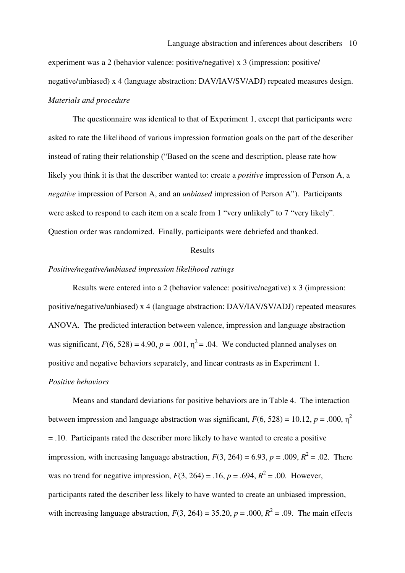experiment was a 2 (behavior valence: positive/negative) x 3 (impression: positive/ negative/unbiased) x 4 (language abstraction: DAV/IAV/SV/ADJ) repeated measures design. *Materials and procedure* 

The questionnaire was identical to that of Experiment 1, except that participants were asked to rate the likelihood of various impression formation goals on the part of the describer instead of rating their relationship ("Based on the scene and description, please rate how likely you think it is that the describer wanted to: create a *positive* impression of Person A, a *negative* impression of Person A, and an *unbiased* impression of Person A"). Participants were asked to respond to each item on a scale from 1 "very unlikely" to 7 "very likely". Question order was randomized. Finally, participants were debriefed and thanked.

#### Results

#### *Positive/negative/unbiased impression likelihood ratings*

Results were entered into a 2 (behavior valence: positive/negative) x 3 (impression: positive/negative/unbiased) x 4 (language abstraction: DAV/IAV/SV/ADJ) repeated measures ANOVA. The predicted interaction between valence, impression and language abstraction was significant,  $F(6, 528) = 4.90$ ,  $p = .001$ ,  $\eta^2 = .04$ . We conducted planned analyses on positive and negative behaviors separately, and linear contrasts as in Experiment 1. *Positive behaviors* 

 Means and standard deviations for positive behaviors are in Table 4. The interaction between impression and language abstraction was significant,  $F(6, 528) = 10.12$ ,  $p = .000$ ,  $\eta^2$ = .10. Participants rated the describer more likely to have wanted to create a positive impression, with increasing language abstraction,  $F(3, 264) = 6.93$ ,  $p = .009$ ,  $R^2 = .02$ . There was no trend for negative impression,  $F(3, 264) = .16$ ,  $p = .694$ ,  $R^2 = .00$ . However, participants rated the describer less likely to have wanted to create an unbiased impression, with increasing language abstraction,  $F(3, 264) = 35.20$ ,  $p = .000$ ,  $R^2 = .09$ . The main effects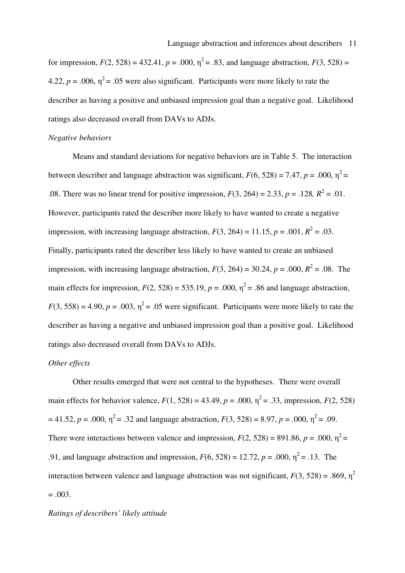for impression,  $F(2, 528) = 432.41$ ,  $p = .000$ ,  $\eta^2 = .83$ , and language abstraction,  $F(3, 528) =$ 4.22,  $p = 0.006$ ,  $\eta^2 = 0.05$  were also significant. Participants were more likely to rate the describer as having a positive and unbiased impression goal than a negative goal. Likelihood ratings also decreased overall from DAVs to ADJs.

#### *Negative behaviors*

Means and standard deviations for negative behaviors are in Table 5. The interaction between describer and language abstraction was significant,  $F(6, 528) = 7.47$ ,  $p = .000$ ,  $\eta^2 =$ .08. There was no linear trend for positive impression,  $F(3, 264) = 2.33$ ,  $p = .128$ ,  $R^2 = .01$ . However, participants rated the describer more likely to have wanted to create a negative impression, with increasing language abstraction,  $F(3, 264) = 11.15$ ,  $p = .001$ ,  $R^2 = .03$ . Finally, participants rated the describer less likely to have wanted to create an unbiased impression, with increasing language abstraction,  $F(3, 264) = 30.24$ ,  $p = .000$ ,  $R^2 = .08$ . The main effects for impression,  $F(2, 528) = 535.19$ ,  $p = .000$ ,  $\eta^2 = .86$  and language abstraction,  $F(3, 558) = 4.90$ ,  $p = .003$ ,  $\eta^2 = .05$  were significant. Participants were more likely to rate the describer as having a negative and unbiased impression goal than a positive goal. Likelihood ratings also decreased overall from DAVs to ADJs.

#### *Other effects*

Other results emerged that were not central to the hypotheses. There were overall main effects for behavior valence,  $F(1, 528) = 43.49$ ,  $p = .000$ ,  $\eta^2 = .33$ , impression,  $F(2, 528)$  $= 41.52, p = .000, \eta^2 = .32$  and language abstraction,  $F(3, 528) = 8.97, p = .000, \eta^2 = .09$ . There were interactions between valence and impression,  $F(2, 528) = 891.86$ ,  $p = .000$ ,  $\eta^2 =$ .91, and language abstraction and impression,  $F(6, 528) = 12.72$ ,  $p = .000$ ,  $\eta^2 = .13$ . The interaction between valence and language abstraction was not significant,  $F(3, 528) = .869$ ,  $\eta^2$  $=.003.$ 

#### *Ratings of describers' likely attitude*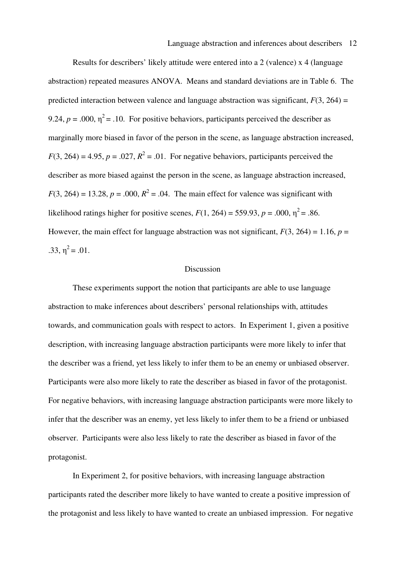Results for describers' likely attitude were entered into a 2 (valence) x 4 (language abstraction) repeated measures ANOVA. Means and standard deviations are in Table 6. The predicted interaction between valence and language abstraction was significant,  $F(3, 264) =$ 9.24,  $p = .000$ ,  $\eta^2 = .10$ . For positive behaviors, participants perceived the describer as marginally more biased in favor of the person in the scene, as language abstraction increased,  $F(3, 264) = 4.95$ ,  $p = .027$ ,  $R^2 = .01$ . For negative behaviors, participants perceived the describer as more biased against the person in the scene, as language abstraction increased,  $F(3, 264) = 13.28$ ,  $p = .000$ ,  $R^2 = .04$ . The main effect for valence was significant with likelihood ratings higher for positive scenes,  $F(1, 264) = 559.93$ ,  $p = .000$ ,  $\eta^2 = .86$ . However, the main effect for language abstraction was not significant,  $F(3, 264) = 1.16$ ,  $p =$ .33,  $\eta^2$  = .01.

#### Discussion

These experiments support the notion that participants are able to use language abstraction to make inferences about describers' personal relationships with, attitudes towards, and communication goals with respect to actors. In Experiment 1, given a positive description, with increasing language abstraction participants were more likely to infer that the describer was a friend, yet less likely to infer them to be an enemy or unbiased observer. Participants were also more likely to rate the describer as biased in favor of the protagonist. For negative behaviors, with increasing language abstraction participants were more likely to infer that the describer was an enemy, yet less likely to infer them to be a friend or unbiased observer. Participants were also less likely to rate the describer as biased in favor of the protagonist.

In Experiment 2, for positive behaviors, with increasing language abstraction participants rated the describer more likely to have wanted to create a positive impression of the protagonist and less likely to have wanted to create an unbiased impression. For negative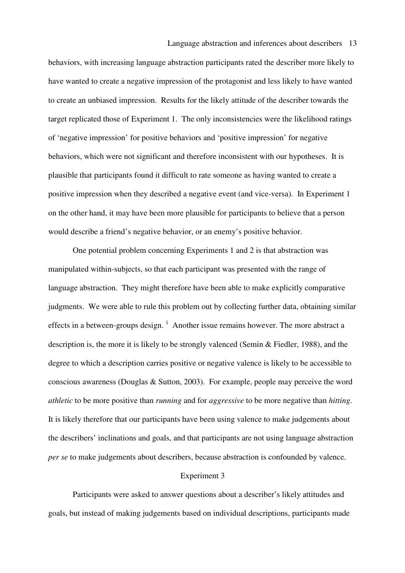#### Language abstraction and inferences about describers 13

behaviors, with increasing language abstraction participants rated the describer more likely to have wanted to create a negative impression of the protagonist and less likely to have wanted to create an unbiased impression. Results for the likely attitude of the describer towards the target replicated those of Experiment 1. The only inconsistencies were the likelihood ratings of 'negative impression' for positive behaviors and 'positive impression' for negative behaviors, which were not significant and therefore inconsistent with our hypotheses. It is plausible that participants found it difficult to rate someone as having wanted to create a positive impression when they described a negative event (and vice-versa). In Experiment 1 on the other hand, it may have been more plausible for participants to believe that a person would describe a friend's negative behavior, or an enemy's positive behavior.

One potential problem concerning Experiments 1 and 2 is that abstraction was manipulated within-subjects, so that each participant was presented with the range of language abstraction. They might therefore have been able to make explicitly comparative judgments. We were able to rule this problem out by collecting further data, obtaining similar effects in a between-groups design.  $<sup>1</sup>$  Another issue remains however. The more abstract a</sup> description is, the more it is likely to be strongly valenced (Semin & Fiedler, 1988), and the degree to which a description carries positive or negative valence is likely to be accessible to conscious awareness (Douglas & Sutton, 2003). For example, people may perceive the word *athletic* to be more positive than *running* and for *aggressive* to be more negative than *hitting*. It is likely therefore that our participants have been using valence to make judgements about the describers' inclinations and goals, and that participants are not using language abstraction *per se* to make judgements about describers, because abstraction is confounded by valence.

#### Experiment 3

 Participants were asked to answer questions about a describer's likely attitudes and goals, but instead of making judgements based on individual descriptions, participants made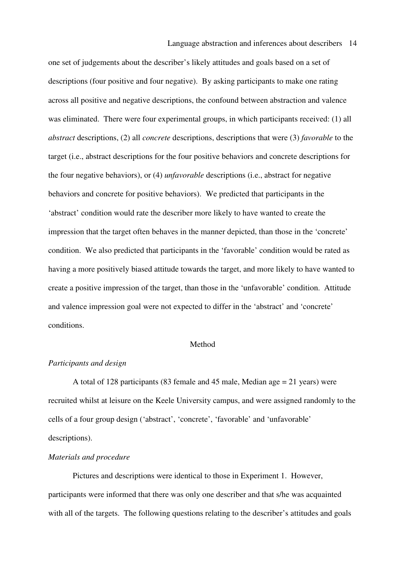one set of judgements about the describer's likely attitudes and goals based on a set of descriptions (four positive and four negative). By asking participants to make one rating across all positive and negative descriptions, the confound between abstraction and valence was eliminated. There were four experimental groups, in which participants received: (1) all *abstract* descriptions, (2) all *concrete* descriptions, descriptions that were (3) *favorable* to the target (i.e., abstract descriptions for the four positive behaviors and concrete descriptions for the four negative behaviors), or (4) *unfavorable* descriptions (i.e., abstract for negative behaviors and concrete for positive behaviors). We predicted that participants in the 'abstract' condition would rate the describer more likely to have wanted to create the impression that the target often behaves in the manner depicted, than those in the 'concrete' condition. We also predicted that participants in the 'favorable' condition would be rated as having a more positively biased attitude towards the target, and more likely to have wanted to create a positive impression of the target, than those in the 'unfavorable' condition. Attitude and valence impression goal were not expected to differ in the 'abstract' and 'concrete' conditions.

#### Method

#### *Participants and design*

A total of 128 participants (83 female and 45 male, Median age = 21 years) were recruited whilst at leisure on the Keele University campus, and were assigned randomly to the cells of a four group design ('abstract', 'concrete', 'favorable' and 'unfavorable' descriptions).

#### *Materials and procedure*

Pictures and descriptions were identical to those in Experiment 1. However, participants were informed that there was only one describer and that s/he was acquainted with all of the targets. The following questions relating to the describer's attitudes and goals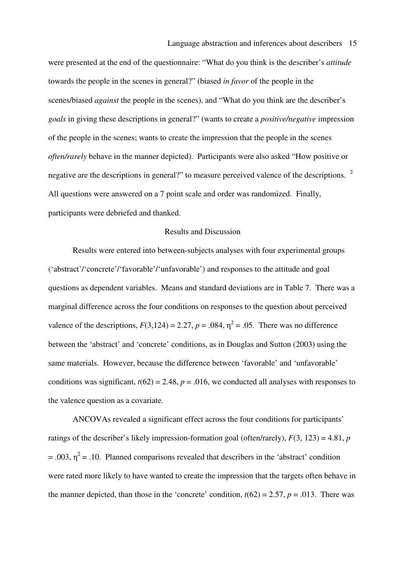were presented at the end of the questionnaire: "What do you think is the describer's *attitude* towards the people in the scenes in general?" (biased *in favor* of the people in the scenes/biased *against* the people in the scenes), and "What do you think are the describer's *goals* in giving these descriptions in general?" (wants to create a *positive/negative* impression of the people in the scenes; wants to create the impression that the people in the scenes *often/rarely* behave in the manner depicted). Participants were also asked "How positive or negative are the descriptions in general?" to measure perceived valence of the descriptions.  $2$ All questions were answered on a 7 point scale and order was randomized. Finally, participants were debriefed and thanked.

#### Results and Discussion

 Results were entered into between-subjects analyses with four experimental groups ('abstract'/'concrete'/'favorable'/'unfavorable') and responses to the attitude and goal questions as dependent variables. Means and standard deviations are in Table 7. There was a marginal difference across the four conditions on responses to the question about perceived valence of the descriptions,  $F(3,124) = 2.27$ ,  $p = .084$ ,  $\eta^2 = .05$ . There was no difference between the 'abstract' and 'concrete' conditions, as in Douglas and Sutton (2003) using the same materials. However, because the difference between 'favorable' and 'unfavorable' conditions was significant,  $t(62) = 2.48$ ,  $p = .016$ , we conducted all analyses with responses to the valence question as a covariate.

ANCOVAs revealed a significant effect across the four conditions for participants' ratings of the describer's likely impression-formation goal (often/rarely),  $F(3, 123) = 4.81$ , *p*  $= .003$ ,  $\eta^2 = .10$ . Planned comparisons revealed that describers in the 'abstract' condition were rated more likely to have wanted to create the impression that the targets often behave in the manner depicted, than those in the 'concrete' condition,  $t(62) = 2.57$ ,  $p = .013$ . There was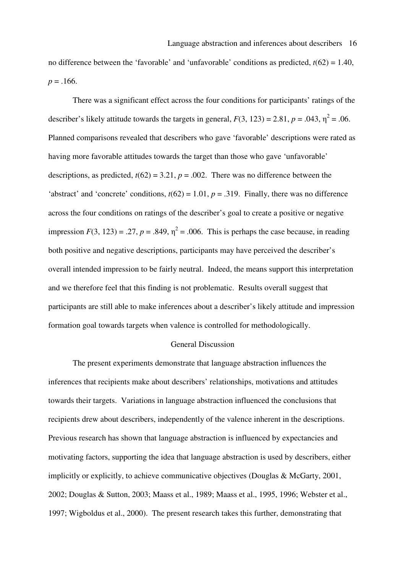no difference between the 'favorable' and 'unfavorable' conditions as predicted,  $t(62) = 1.40$ ,  $p = .166$ .

There was a significant effect across the four conditions for participants' ratings of the describer's likely attitude towards the targets in general,  $F(3, 123) = 2.81$ ,  $p = .043$ ,  $\eta^2 = .06$ . Planned comparisons revealed that describers who gave 'favorable' descriptions were rated as having more favorable attitudes towards the target than those who gave 'unfavorable' descriptions, as predicted,  $t(62) = 3.21$ ,  $p = .002$ . There was no difference between the 'abstract' and 'concrete' conditions,  $t(62) = 1.01$ ,  $p = .319$ . Finally, there was no difference across the four conditions on ratings of the describer's goal to create a positive or negative impression  $F(3, 123) = .27$ ,  $p = .849$ ,  $\eta^2 = .006$ . This is perhaps the case because, in reading both positive and negative descriptions, participants may have perceived the describer's overall intended impression to be fairly neutral. Indeed, the means support this interpretation and we therefore feel that this finding is not problematic. Results overall suggest that participants are still able to make inferences about a describer's likely attitude and impression formation goal towards targets when valence is controlled for methodologically.

#### General Discussion

The present experiments demonstrate that language abstraction influences the inferences that recipients make about describers' relationships, motivations and attitudes towards their targets. Variations in language abstraction influenced the conclusions that recipients drew about describers, independently of the valence inherent in the descriptions. Previous research has shown that language abstraction is influenced by expectancies and motivating factors, supporting the idea that language abstraction is used by describers, either implicitly or explicitly, to achieve communicative objectives (Douglas & McGarty, 2001, 2002; Douglas & Sutton, 2003; Maass et al., 1989; Maass et al., 1995, 1996; Webster et al., 1997; Wigboldus et al., 2000). The present research takes this further, demonstrating that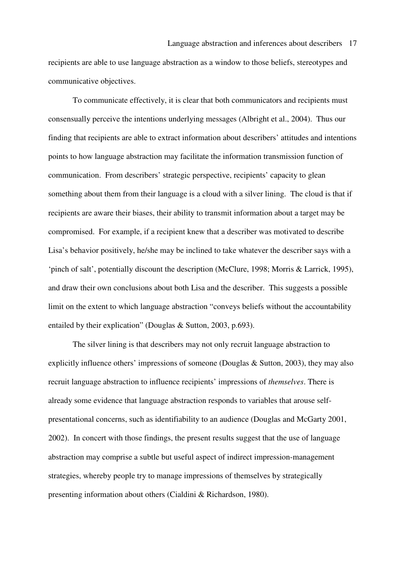recipients are able to use language abstraction as a window to those beliefs, stereotypes and communicative objectives.

To communicate effectively, it is clear that both communicators and recipients must consensually perceive the intentions underlying messages (Albright et al., 2004). Thus our finding that recipients are able to extract information about describers' attitudes and intentions points to how language abstraction may facilitate the information transmission function of communication. From describers' strategic perspective, recipients' capacity to glean something about them from their language is a cloud with a silver lining. The cloud is that if recipients are aware their biases, their ability to transmit information about a target may be compromised. For example, if a recipient knew that a describer was motivated to describe Lisa's behavior positively, he/she may be inclined to take whatever the describer says with a 'pinch of salt', potentially discount the description (McClure, 1998; Morris & Larrick, 1995), and draw their own conclusions about both Lisa and the describer. This suggests a possible limit on the extent to which language abstraction "conveys beliefs without the accountability entailed by their explication" (Douglas & Sutton, 2003, p.693).

The silver lining is that describers may not only recruit language abstraction to explicitly influence others' impressions of someone (Douglas & Sutton, 2003), they may also recruit language abstraction to influence recipients' impressions of *themselves*. There is already some evidence that language abstraction responds to variables that arouse selfpresentational concerns, such as identifiability to an audience (Douglas and McGarty 2001, 2002). In concert with those findings, the present results suggest that the use of language abstraction may comprise a subtle but useful aspect of indirect impression-management strategies, whereby people try to manage impressions of themselves by strategically presenting information about others (Cialdini & Richardson, 1980).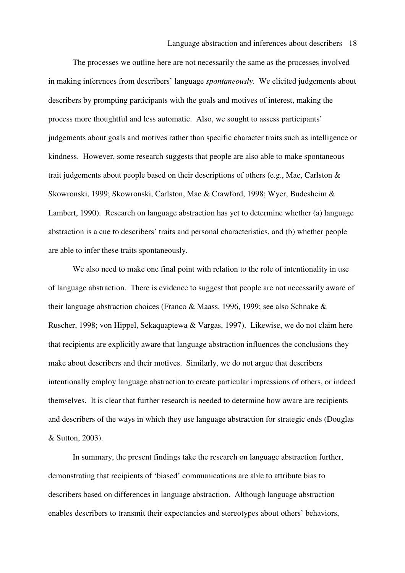#### Language abstraction and inferences about describers 18

The processes we outline here are not necessarily the same as the processes involved in making inferences from describers' language *spontaneously*. We elicited judgements about describers by prompting participants with the goals and motives of interest, making the process more thoughtful and less automatic. Also, we sought to assess participants' judgements about goals and motives rather than specific character traits such as intelligence or kindness. However, some research suggests that people are also able to make spontaneous trait judgements about people based on their descriptions of others (e.g., Mae, Carlston & Skowronski, 1999; Skowronski, Carlston, Mae & Crawford, 1998; Wyer, Budesheim & Lambert, 1990). Research on language abstraction has yet to determine whether (a) language abstraction is a cue to describers' traits and personal characteristics, and (b) whether people are able to infer these traits spontaneously.

We also need to make one final point with relation to the role of intentionality in use of language abstraction. There is evidence to suggest that people are not necessarily aware of their language abstraction choices (Franco & Maass, 1996, 1999; see also Schnake & Ruscher, 1998; von Hippel, Sekaquaptewa & Vargas, 1997). Likewise, we do not claim here that recipients are explicitly aware that language abstraction influences the conclusions they make about describers and their motives. Similarly, we do not argue that describers intentionally employ language abstraction to create particular impressions of others, or indeed themselves. It is clear that further research is needed to determine how aware are recipients and describers of the ways in which they use language abstraction for strategic ends (Douglas & Sutton, 2003).

In summary, the present findings take the research on language abstraction further, demonstrating that recipients of 'biased' communications are able to attribute bias to describers based on differences in language abstraction. Although language abstraction enables describers to transmit their expectancies and stereotypes about others' behaviors,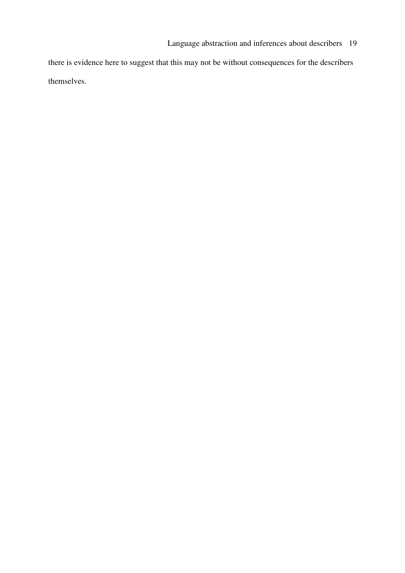there is evidence here to suggest that this may not be without consequences for the describers themselves.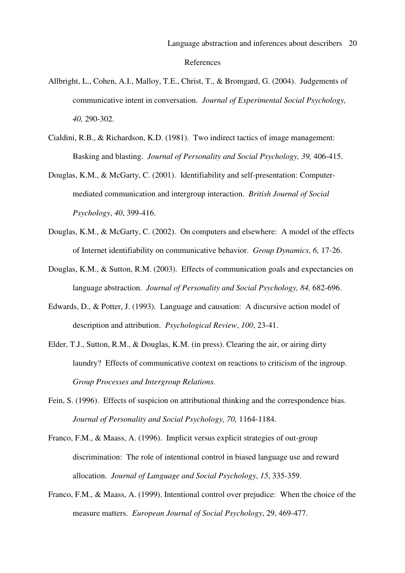- References
- Allbright, L., Cohen, A.I., Malloy, T.E., Christ, T., & Bromgard, G. (2004). Judgements of communicative intent in conversation. *Journal of Experimental Social Psychology, 40,* 290-302.
- Cialdini, R.B., & Richardson, K.D. (1981). Two indirect tactics of image management: Basking and blasting. *Journal of Personality and Social Psychology, 39,* 406-415.
- Douglas, K.M., & McGarty, C. (2001). Identifiability and self-presentation: Computermediated communication and intergroup interaction. *British Journal of Social Psychology*, *40*, 399-416.
- Douglas, K.M., & McGarty, C. (2002). On computers and elsewhere: A model of the effects of Internet identifiability on communicative behavior. *Group Dynamics, 6,* 17-26.
- Douglas, K.M., & Sutton, R.M. (2003). Effects of communication goals and expectancies on language abstraction. *Journal of Personality and Social Psychology, 84,* 682-696.
- Edwards, D., & Potter, J. (1993). Language and causation: A discursive action model of description and attribution. *Psychological Review*, *100*, 23-41.
- Elder, T.J., Sutton, R.M., & Douglas, K.M. (in press). Clearing the air, or airing dirty laundry? Effects of communicative context on reactions to criticism of the ingroup. *Group Processes and Intergroup Relations.*
- Fein, S. (1996). Effects of suspicion on attributional thinking and the correspondence bias. *Journal of Personality and Social Psychology, 70,* 1164-1184.
- Franco, F.M., & Maass, A. (1996). Implicit versus explicit strategies of out-group discrimination: The role of intentional control in biased language use and reward allocation. *Journal of Language and Social Psychology*, *15*, 335-359.
- Franco, F.M., & Maass, A. (1999). Intentional control over prejudice: When the choice of the measure matters. *European Journal of Social Psychology*, 29, 469-477.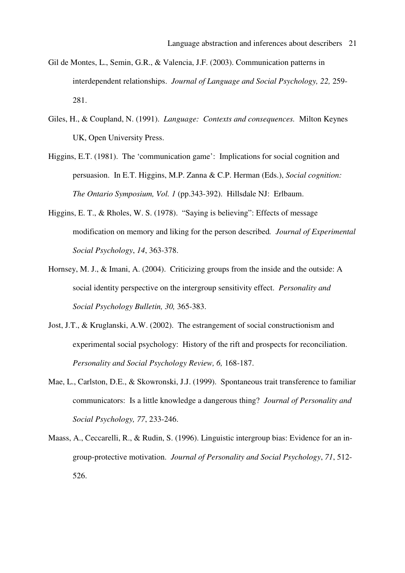- Gil de Montes, L., Semin, G.R., & Valencia, J.F. (2003). Communication patterns in interdependent relationships. *Journal of Language and Social Psychology, 22,* 259- 281.
- Giles, H., & Coupland, N. (1991). *Language: Contexts and consequences.* Milton Keynes UK, Open University Press.
- Higgins, E.T. (1981). The 'communication game': Implications for social cognition and persuasion. In E.T. Higgins, M.P. Zanna & C.P. Herman (Eds.), *Social cognition: The Ontario Symposium, Vol. 1* (pp.343-392). Hillsdale NJ: Erlbaum.
- Higgins, E. T., & Rholes, W. S. (1978). "Saying is believing": Effects of message modification on memory and liking for the person described*. Journal of Experimental Social Psychology*, *14*, 363-378.
- Hornsey, M. J., & Imani, A. (2004). Criticizing groups from the inside and the outside: A social identity perspective on the intergroup sensitivity effect. *Personality and Social Psychology Bulletin, 30,* 365-383.
- Jost, J.T., & Kruglanski, A.W. (2002). The estrangement of social constructionism and experimental social psychology: History of the rift and prospects for reconciliation. *Personality and Social Psychology Review, 6,* 168-187.
- Mae, L., Carlston, D.E., & Skowronski, J.J. (1999). Spontaneous trait transference to familiar communicators: Is a little knowledge a dangerous thing? *Journal of Personality and Social Psychology, 77*, 233-246.
- Maass, A., Ceccarelli, R., & Rudin, S. (1996). Linguistic intergroup bias: Evidence for an ingroup-protective motivation. *Journal of Personality and Social Psychology*, *71*, 512- 526.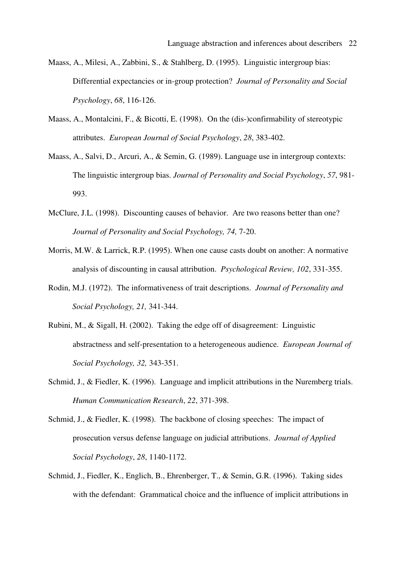- Maass, A., Milesi, A., Zabbini, S., & Stahlberg, D. (1995). Linguistic intergroup bias: Differential expectancies or in-group protection? *Journal of Personality and Social Psychology*, *68*, 116-126.
- Maass, A., Montalcini, F., & Bicotti, E. (1998). On the (dis-)confirmability of stereotypic attributes. *European Journal of Social Psychology*, *28*, 383-402.
- Maass, A., Salvi, D., Arcuri, A., & Semin, G. (1989). Language use in intergroup contexts: The linguistic intergroup bias. *Journal of Personality and Social Psychology*, *57*, 981- 993.
- McClure, J.L. (1998). Discounting causes of behavior. Are two reasons better than one? *Journal of Personality and Social Psychology, 74,* 7-20.
- Morris, M.W. & Larrick, R.P. (1995). When one cause casts doubt on another: A normative analysis of discounting in causal attribution. *Psychological Review, 102*, 331-355.
- Rodin, M.J. (1972). The informativeness of trait descriptions. *Journal of Personality and Social Psychology, 21,* 341-344.
- Rubini, M., & Sigall, H. (2002). Taking the edge off of disagreement: Linguistic abstractness and self-presentation to a heterogeneous audience. *European Journal of Social Psychology, 32,* 343-351.
- Schmid, J., & Fiedler, K. (1996). Language and implicit attributions in the Nuremberg trials. *Human Communication Research*, *22*, 371-398.
- Schmid, J., & Fiedler, K. (1998). The backbone of closing speeches: The impact of prosecution versus defense language on judicial attributions. *Journal of Applied Social Psychology*, *28*, 1140-1172.
- Schmid, J., Fiedler, K., Englich, B., Ehrenberger, T., & Semin, G.R. (1996). Taking sides with the defendant: Grammatical choice and the influence of implicit attributions in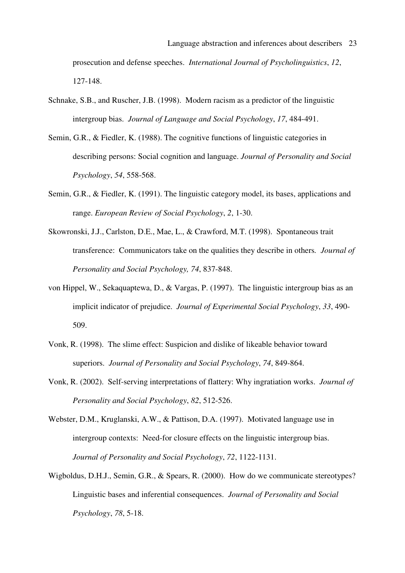prosecution and defense speeches. *International Journal of Psycholinguistics*, *12*, 127-148.

- Schnake, S.B., and Ruscher, J.B. (1998). Modern racism as a predictor of the linguistic intergroup bias. *Journal of Language and Social Psychology*, *17*, 484-491.
- Semin, G.R., & Fiedler, K. (1988). The cognitive functions of linguistic categories in describing persons: Social cognition and language. *Journal of Personality and Social Psychology*, *54*, 558-568.
- Semin, G.R., & Fiedler, K. (1991). The linguistic category model, its bases, applications and range. *European Review of Social Psychology*, *2*, 1-30.
- Skowronski, J.J., Carlston, D.E., Mae, L., & Crawford, M.T. (1998). Spontaneous trait transference: Communicators take on the qualities they describe in others*. Journal of Personality and Social Psychology, 74*, 837-848.
- von Hippel, W., Sekaquaptewa, D., & Vargas, P. (1997). The linguistic intergroup bias as an implicit indicator of prejudice. *Journal of Experimental Social Psychology*, *33*, 490- 509.
- Vonk, R. (1998). The slime effect: Suspicion and dislike of likeable behavior toward superiors. *Journal of Personality and Social Psychology*, *74*, 849-864.
- Vonk, R. (2002). Self-serving interpretations of flattery: Why ingratiation works. *Journal of Personality and Social Psychology*, *82*, 512-526.
- Webster, D.M., Kruglanski, A.W., & Pattison, D.A. (1997). Motivated language use in intergroup contexts: Need-for closure effects on the linguistic intergroup bias. *Journal of Personality and Social Psychology*, *72*, 1122-1131.
- Wigboldus, D.H.J., Semin, G.R., & Spears, R. (2000). How do we communicate stereotypes? Linguistic bases and inferential consequences. *Journal of Personality and Social Psychology*, *78*, 5-18.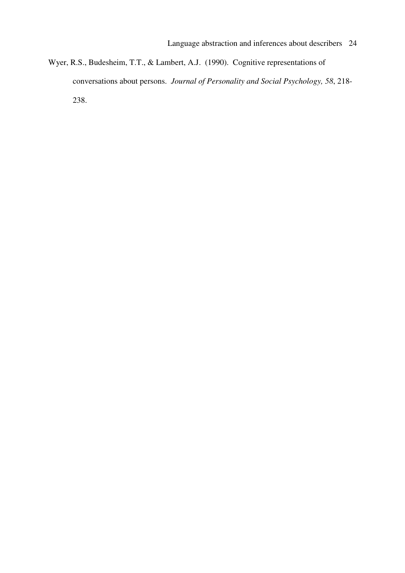Wyer, R.S., Budesheim, T.T., & Lambert, A.J. (1990). Cognitive representations of conversations about persons. *Journal of Personality and Social Psychology, 58*, 218- 238.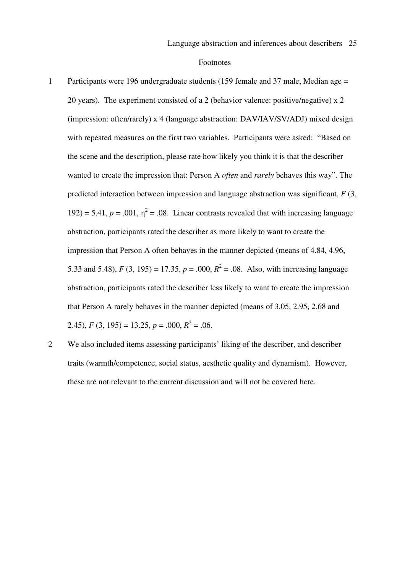#### Footnotes

- 1 Participants were 196 undergraduate students (159 female and 37 male, Median age = 20 years). The experiment consisted of a 2 (behavior valence: positive/negative) x 2 (impression: often/rarely) x 4 (language abstraction: DAV/IAV/SV/ADJ) mixed design with repeated measures on the first two variables. Participants were asked: "Based on the scene and the description, please rate how likely you think it is that the describer wanted to create the impression that: Person A *often* and *rarely* behaves this way". The predicted interaction between impression and language abstraction was significant, *F* (3,  $192$ ) = 5.41,  $p = .001$ ,  $\eta^2 = .08$ . Linear contrasts revealed that with increasing language abstraction, participants rated the describer as more likely to want to create the impression that Person A often behaves in the manner depicted (means of 4.84, 4.96, 5.33 and 5.48),  $F(3, 195) = 17.35$ ,  $p = .000$ ,  $R^2 = .08$ . Also, with increasing language abstraction, participants rated the describer less likely to want to create the impression that Person A rarely behaves in the manner depicted (means of 3.05, 2.95, 2.68 and 2.45),  $F(3, 195) = 13.25, p = .000, R^2 = .06.$
- 2 We also included items assessing participants' liking of the describer, and describer traits (warmth/competence, social status, aesthetic quality and dynamism). However, these are not relevant to the current discussion and will not be covered here.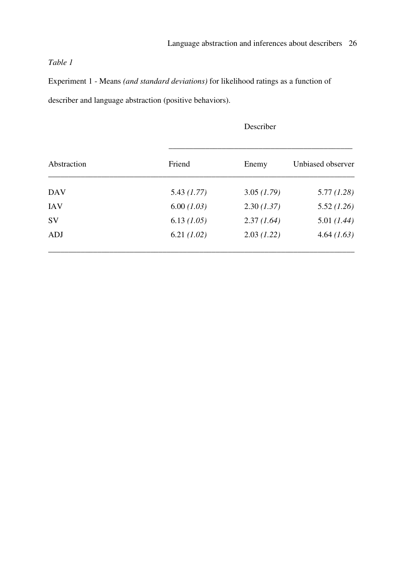Experiment 1 - Means *(and standard deviations)* for likelihood ratings as a function of describer and language abstraction (positive behaviors).

| Abstraction | Friend        | Enemy      | Unbiased observer |
|-------------|---------------|------------|-------------------|
| <b>DAV</b>  | 5.43(1.77)    | 3.05(1.79) | 5.77(1.28)        |
| <b>IAV</b>  | $6.00$ (1.03) | 2.30(1.37) | 5.52(1.26)        |
| SV          | 6.13(1.05)    | 2.37(1.64) | 5.01 (1.44)       |
| ADJ         | 6.21 $(1.02)$ | 2.03(1.22) | 4.64(1.63)        |

## Describer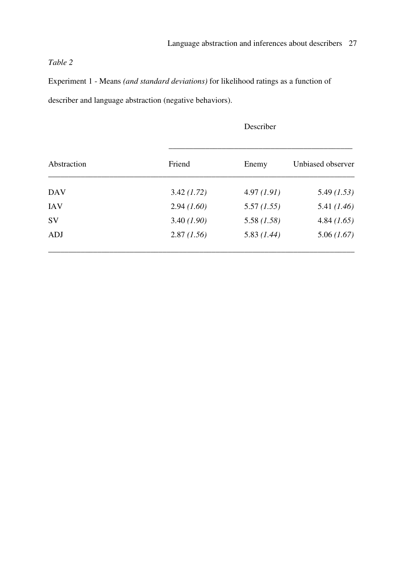Experiment 1 - Means *(and standard deviations)* for likelihood ratings as a function of describer and language abstraction (negative behaviors).

| Abstraction | Friend     | Enemy         | Unbiased observer |
|-------------|------------|---------------|-------------------|
| <b>DAV</b>  | 3.42(1.72) | 4.97(1.91)    | 5.49(1.53)        |
| <b>IAV</b>  | 2.94(1.60) | 5.57(1.55)    | 5.41 $(1.46)$     |
| <b>SV</b>   | 3.40(1.90) | 5.58 $(1.58)$ | 4.84(1.65)        |
| <b>ADJ</b>  | 2.87(1.56) | 5.83 $(1.44)$ | 5.06(1.67)        |

## Describer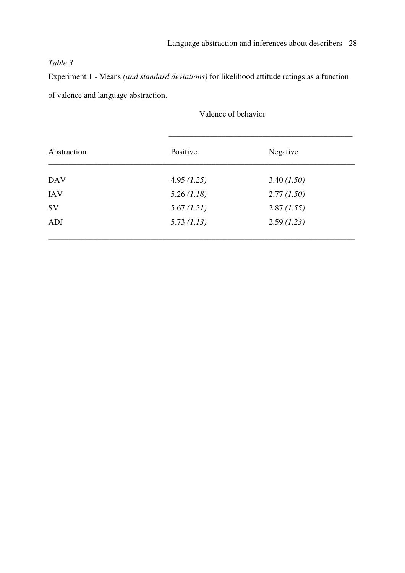Experiment 1 - Means *(and standard deviations)* for likelihood attitude ratings as a function of valence and language abstraction.

| Abstraction | Positive        | Negative   |  |
|-------------|-----------------|------------|--|
| <b>DAV</b>  | 4.95(1.25)      | 3.40(1.50) |  |
| <b>IAV</b>  | $5.26$ (1.18)   | 2.77(1.50) |  |
| <b>SV</b>   | 5.67(1.21)      | 2.87(1.55) |  |
| <b>ADJ</b>  | $5.73$ $(1.13)$ | 2.59(1.23) |  |
|             |                 |            |  |

#### Valence of behavior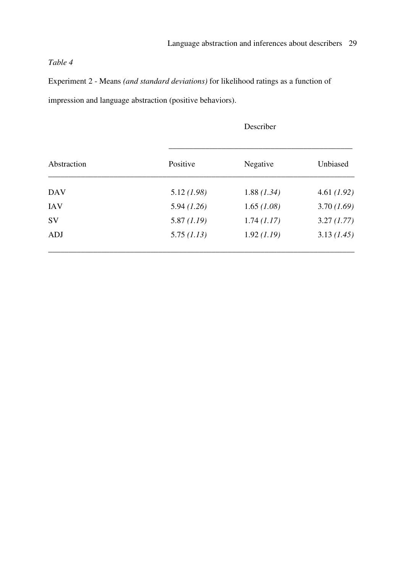Experiment 2 - Means *(and standard deviations)* for likelihood ratings as a function of impression and language abstraction (positive behaviors).

|             |             | Negative    | Unbiased      |
|-------------|-------------|-------------|---------------|
| Abstraction | Positive    |             |               |
| <b>DAV</b>  | 5.12(1.98)  | 1.88(1.34)  | 4.61 $(1.92)$ |
| <b>IAV</b>  | 5.94 (1.26) | 1.65 (1.08) | 3.70(1.69)    |
| SV          | 5.87(1.19)  | 1.74(1.17)  | 3.27(1.77)    |
| ADJ         | 5.75(1.13)  | 1.92 (1.19) | 3.13(1.45)    |
|             |             |             |               |

## Describer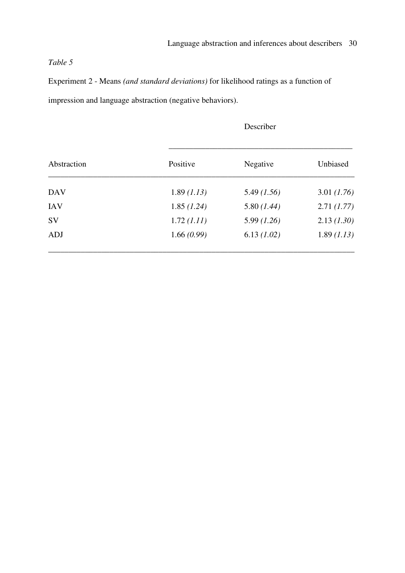Experiment 2 - Means *(and standard deviations)* for likelihood ratings as a function of impression and language abstraction (negative behaviors).

| Abstraction | Positive    | Negative      | Unbiased    |
|-------------|-------------|---------------|-------------|
| <b>DAV</b>  | 1.89 (1.13) | 5.49 $(1.56)$ | 3.01 (1.76) |
| <b>IAV</b>  | 1.85 (1.24) | 5.80 $(1.44)$ | 2.71(1.77)  |
| SV          | 1.72 (1.11) | 5.99 $(1.26)$ | 2.13(1.30)  |
| <b>ADJ</b>  | 1.66(0.99)  | 6.13(1.02)    | 1.89 (1.13) |

## Describer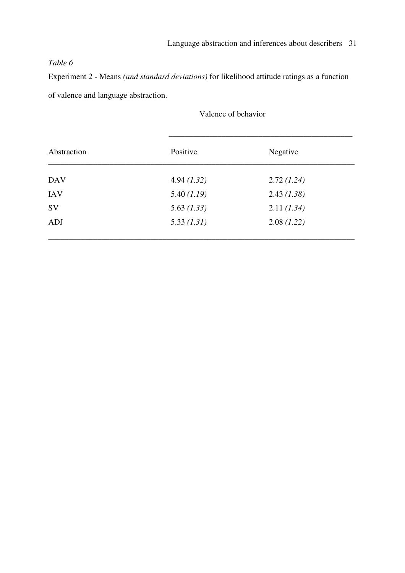Experiment 2 - Means *(and standard deviations)* for likelihood attitude ratings as a function of valence and language abstraction.

| Abstraction | Positive      | Negative    |  |
|-------------|---------------|-------------|--|
| <b>DAV</b>  | 4.94(1.32)    | 2.72(1.24)  |  |
| <b>IAV</b>  | 5.40 (1.19)   | 2.43(1.38)  |  |
| SV          | 5.63 $(1.33)$ | 2.11 (1.34) |  |
| <b>ADJ</b>  | 5.33 (1.31)   | 2.08(1.22)  |  |
|             |               |             |  |

#### Valence of behavior